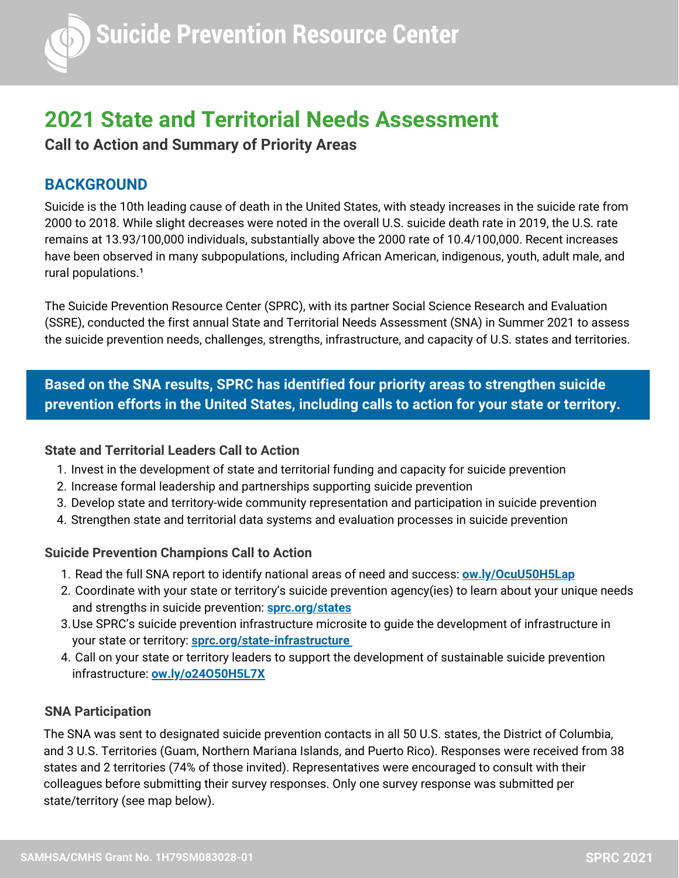# **2021 State and Territorial Needs Assessment**

**Call to Action and Summary of Priority Areas**

# **BACKGROUND**

Suicide is the 10th leading cause of death in the United States, with steady increases in the suicide rate from 2000 to 2018. While slight decreases were noted in the overall U.S. suicide death rate in 2019, the U.S. rate remains at 13.93/100,000 individuals, substantially above the 2000 rate of 10.4/100,000. Recent increases have been observed in many subpopulations, including African American, indigenous, youth, adult male, and rural populations.<sup>1</sup>

The Suicide Prevention Resource Center (SPRC), with its partner Social Science Research and Evaluation (SSRE), conducted the first annual State and Territorial Needs Assessment (SNA) in Summer 2021 to assess the suicide prevention needs, challenges, strengths, infrastructure, and capacity of U.S. states and territories.

**Based on the SNA results, SPRC has identified four priority areas to strengthen suicide prevention efforts in the United States, including calls to action for your state or territory.**

# **State and Territorial Leaders Call to Action**

- 1. Invest in the development of state and territorial funding and capacity for suicide prevention
- 2. Increase formal leadership and partnerships supporting suicide prevention
- 3. Develop state and territory-wide community representation and participation in suicide prevention
- 4. Strengthen state and territorial data systems and evaluation processes in suicide prevention

# **Suicide Prevention Champions Call to Action**

- Read the full SNA report to identify national areas of need and success: **[ow.ly/OcuU50H5Lap](http://ow.ly/OcuU50H5Lap)** 1.
- 2. Coordinate with your state or territory's suicide prevention agency(ies) to learn about your unique needs and strengths in suicide prevention: **[sprc.org/states](https://www.sprc.org/states)**
- Use SPRC's suicide prevention infrastructure microsite to guide the development of infrastructure in 3. your state or territory: **[sprc.org/state-infrastructure](https://www.sprc.org/state-infrastructure)**
- Call on your state or territory leaders to support the development of sustainable suicide prevention 4. infrastructure: **[ow.ly/o24O50H5L7X](http://ow.ly/o24O50H5L7X)**

# **SNA Participation**

The SNA was sent to designated suicide prevention contacts in all 50 U.S. states, the District of Columbia, and 3 U.S. Territories (Guam, Northern Mariana Islands, and Puerto Rico). Responses were received from 38 states and 2 territories (74% of those invited). Representatives were encouraged to consult with their colleagues before submitting their survey responses. Only one survey response was submitted per state/territory (see map below).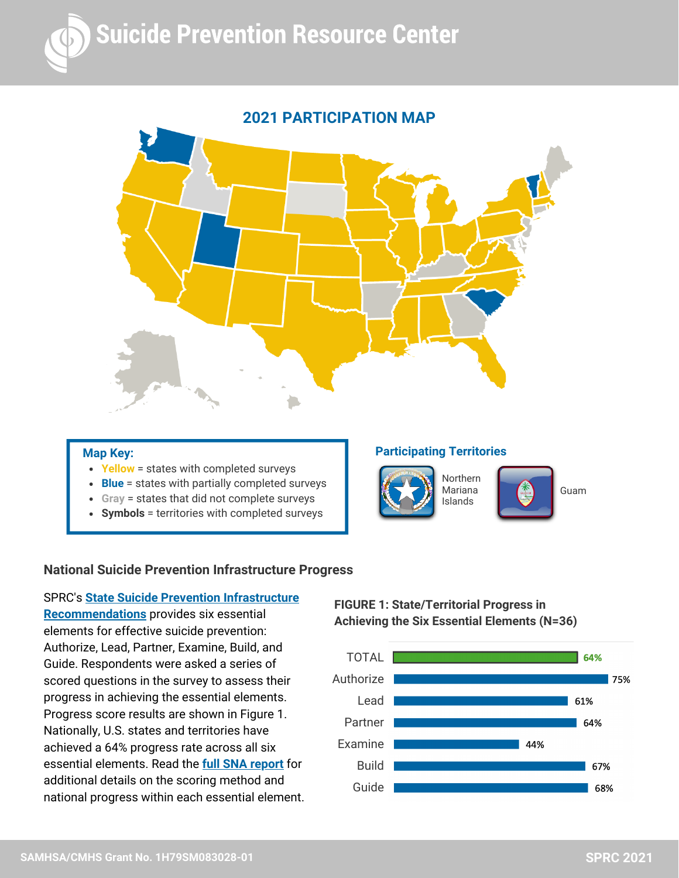



#### **Map Key:**

- **Yellow** = states with completed surveys
- **Blue** = states with partially completed surveys
- **Gray** = states that did not complete surveys
- **Symbols** = territories with completed surveys

#### **Participating Territories**





Guam

#### **National Suicide Prevention Infrastructure Progress**

SPRC's **State Suicide Prevention Infrastructure [Recommendations](https://www.sprc.org/state-infrastructure)** provides six essential elements for effective suicide prevention: Authorize, Lead, Partner, Examine, Build, and Guide. Respondents were asked a series of scored questions in the survey to assess their progress in achieving the essential elements. Progress score results are shown in Figure 1. Nationally, U.S. states and territories have achieved a 64% progress rate across all six essential elements. Read the **full SNA [report](https://sprc.org/sites/default/files/090821_Aggregate%20SPRC%202021%20State-Territory%20Needs%20Assessment%20Report_%28Shareable%29%20%28003%29.pdf)** for additional details on the scoring method and national progress within each essential element.

# **FIGURE 1: State/Territorial Progress in Achieving the Six Essential Elements (N=36)**

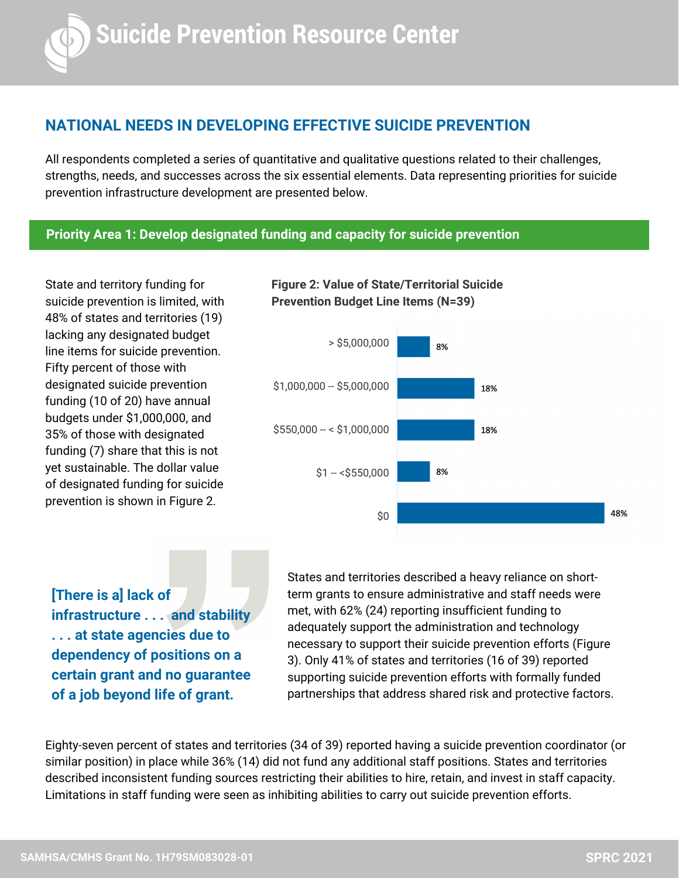# **NATIONAL NEEDS IN DEVELOPING EFFECTIVE SUICIDE PREVENTION**

All respondents completed a series of quantitative and qualitative questions related to their challenges, strengths, needs, and successes across the six essential elements. Data representing priorities for suicide prevention infrastructure development are presented below.

**Figure 2: Value of State/Territorial Suicide**

#### **Priority Area 1: Develop designated funding and capacity for suicide prevention**

State and territory funding for suicide prevention is limited, with 48% of states and territories (19) lacking any designated budget line items for suicide prevention. Fifty percent of those with designated suicide prevention funding (10 of 20) have annual budgets under \$1,000,000, and 35% of those with designated funding (7) share that this is not yet sustainable. The dollar value of designated funding for suicide prevention is shown in Figure 2.



**[There is a] lack of infrastructure . . . and stability . . . at state agencies due to dependency of positions on a certain grant and no guarantee of a job beyond life of grant.**

States and territories described a heavy reliance on shortterm grants to ensure administrative and staff needs were met, with 62% (24) reporting insufficient funding to adequately support the administration and technology necessary to support their suicide prevention efforts (Figure 3). Only 41% of states and territories (16 of 39) reported supporting suicide prevention efforts with formally funded partnerships that address shared risk and protective factors.

Eighty-seven percent of states and territories (34 of 39) reported having a suicide prevention coordinator (or similar position) in place while 36% (14) did not fund any additional staff positions. States and territories described inconsistent funding sources restricting their abilities to hire, retain, and invest in staff capacity. Limitations in staff funding were seen as inhibiting abilities to carry out suicide prevention efforts.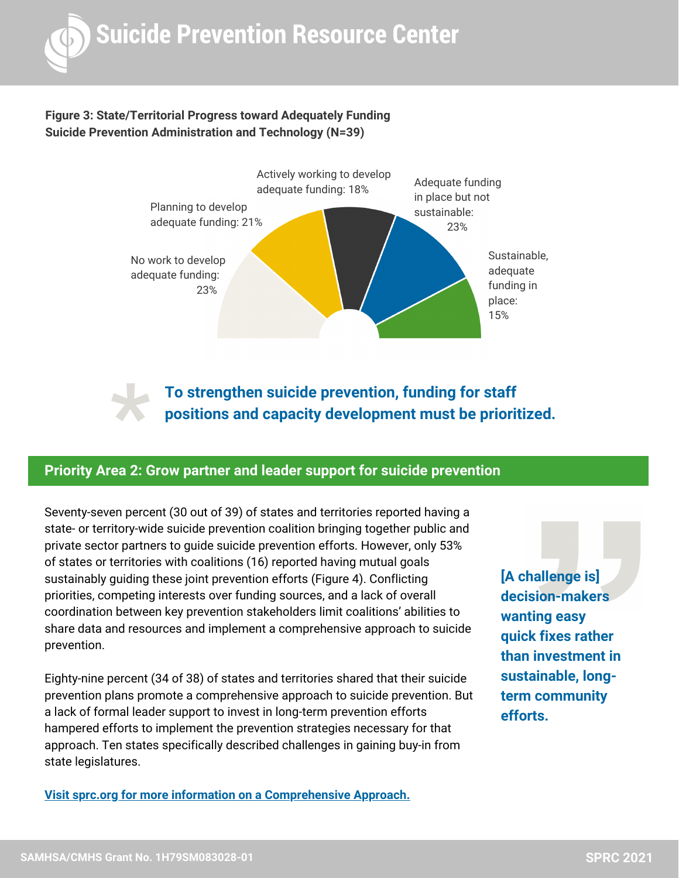

# **Figure 3: State/Territorial Progress toward Adequately Funding Suicide Prevention Administration and Technology (N=39)**



**To strengthen suicide prevention, funding for staff positions and capacity development must be prioritized.**

# **Priority Area 2: Grow partner and leader support for suicide prevention \***

Seventy-seven percent (30 out of 39) of states and territories reported having a state- or territory-wide suicide prevention coalition bringing together public and private sector partners to guide suicide prevention efforts. However, only 53% of states or territories with coalitions (16) reported having mutual goals sustainably guiding these joint prevention efforts (Figure 4). Conflicting priorities, competing interests over funding sources, and a lack of overall coordination between key prevention stakeholders limit coalitions' abilities to share data and resources and implement a comprehensive approach to suicide prevention.

Eighty-nine percent (34 of 38) of states and territories shared that their suicide prevention plans promote a comprehensive approach to suicide prevention. But a lack of formal leader support to invest in long-term prevention efforts hampered efforts to implement the prevention strategies necessary for that approach. Ten states specifically described challenges in gaining buy-in from state legislatures.

**Visit sprc.org for more information on a [Comprehensive](https://www.sprc.org/effective-prevention/comprehensive-approach) Approach.**

**[A challenge is] decision-makers wanting easy quick fixes rather than investment in sustainable, longterm community efforts.**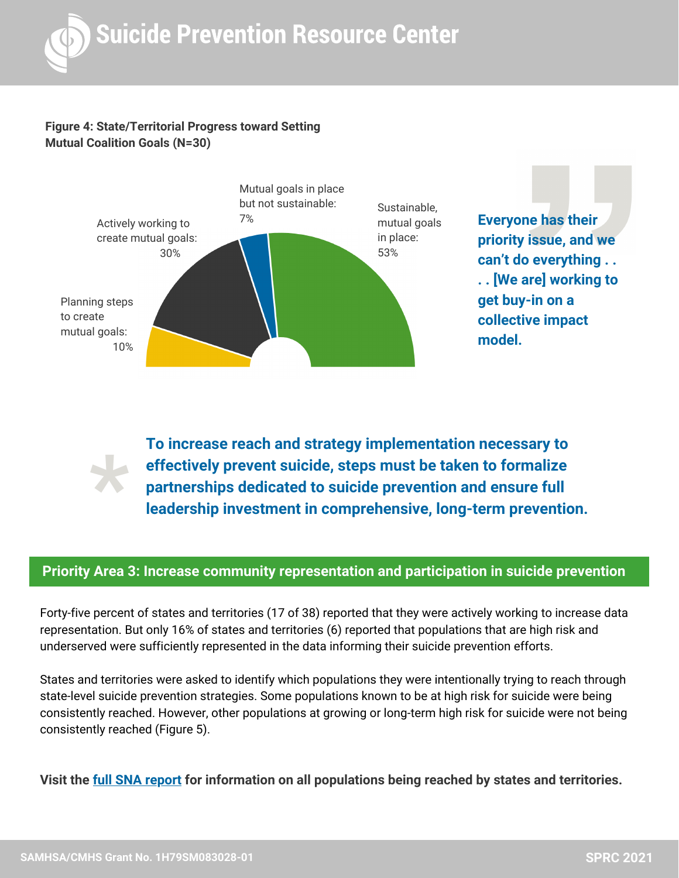

#### **Figure 4: State/Territorial Progress toward Setting Mutual Coalition Goals (N=30)**



**Everyone has their priority issue, and we can't do everything . . . . [We are] working to get buy-in on a collective impact model.**

**\***

**To increase reach and strategy implementation necessary to effectively prevent suicide, steps must be taken to formalize partnerships dedicated to suicide prevention and ensure full leadership investment in comprehensive, long-term prevention.**

# **Priority Area 3: Increase community representation and participation in suicide prevention**

Forty-five percent of states and territories (17 of 38) reported that they were actively working to increase data representation. But only 16% of states and territories (6) reported that populations that are high risk and underserved were sufficiently represented in the data informing their suicide prevention efforts.

States and territories were asked to identify which populations they were intentionally trying to reach through state-level suicide prevention strategies. Some populations known to be at high risk for suicide were being consistently reached. However, other populations at growing or long-term high risk for suicide were not being consistently reached (Figure 5).

**Visit the [full SNA report](https://sprc.org/sites/default/files/090821_Aggregate%20SPRC%202021%20State-Territory%20Needs%20Assessment%20Report_%28Shareable%29%20%28003%29.pdf) for information on all populations being reached by states and territories.**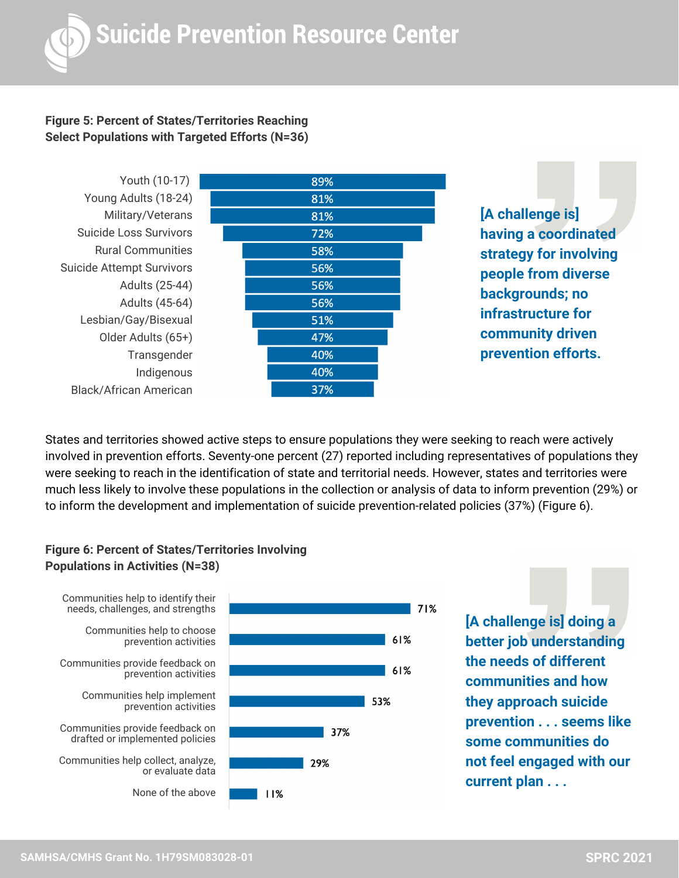# **Figure 5: Percent of States/Territories Reaching Select Populations with Targeted Efforts (N=36)**



**[A challenge is] having a coordinated strategy for involving people from diverse backgrounds; no infrastructure for community driven prevention efforts.**

States and territories showed active steps to ensure populations they were seeking to reach were actively involved in prevention efforts. Seventy-one percent (27) reported including representatives of populations they were seeking to reach in the identification of state and territorial needs. However, states and territories were much less likely to involve these populations in the collection or analysis of data to inform prevention (29%) or to inform the development and implementation of suicide prevention-related policies (37%) (Figure 6).

71%

# **Figure 6: Percent of States/Territories Involving Populations in Activities (N=38)**



**[A challenge is] doing a better job understanding the needs of different communities and how they approach suicide prevention . . . seems like some communities do not feel engaged with our current plan . . .**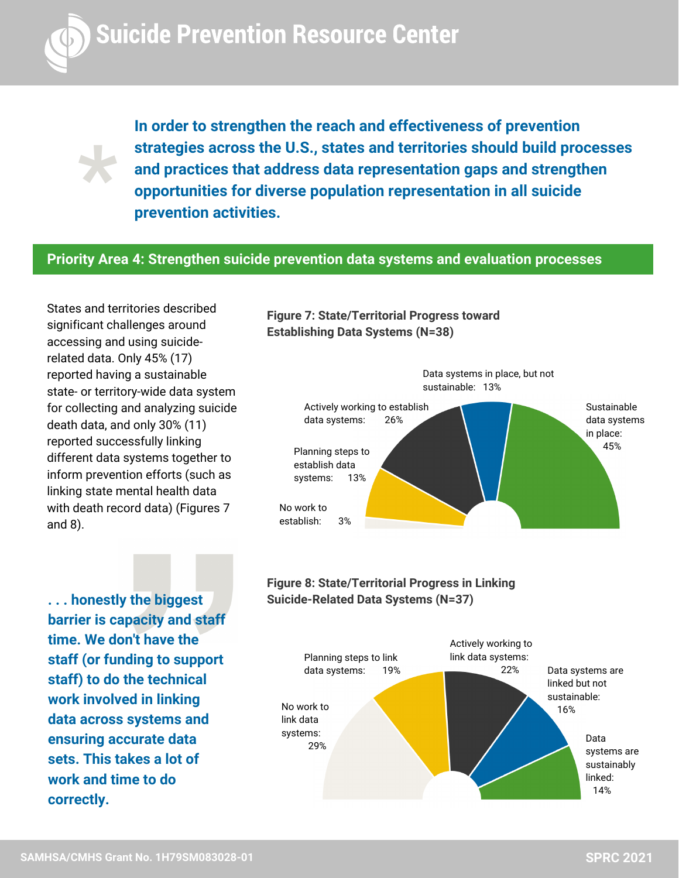

**\***

**In order to strengthen the reach and effectiveness of prevention strategies across the U.S., states and territories should build processes and practices that address data representation gaps and strengthen opportunities for diverse population representation in all suicide prevention activities.**

# **Priority Area 4: Strengthen suicide prevention data systems and evaluation processes**

States and territories described significant challenges around accessing and using suiciderelated data. Only 45% (17) reported having a sustainable state- or territory-wide data system for collecting and analyzing suicide death data, and only 30% (11) reported successfully linking different data systems together to inform prevention efforts (such as linking state mental health data with death record data) (Figures 7 and 8).

**barrier is capacity and staff time. We don't have the staff (or funding to support staff) to do the technical work involved in linking data across systems and ensuring accurate data sets. This takes a lot of work and time to do correctly.**





**Figure 8: State/Territorial Progress in Linking ... honestly the biggest Suicide-Related Data Systems (N=37)**